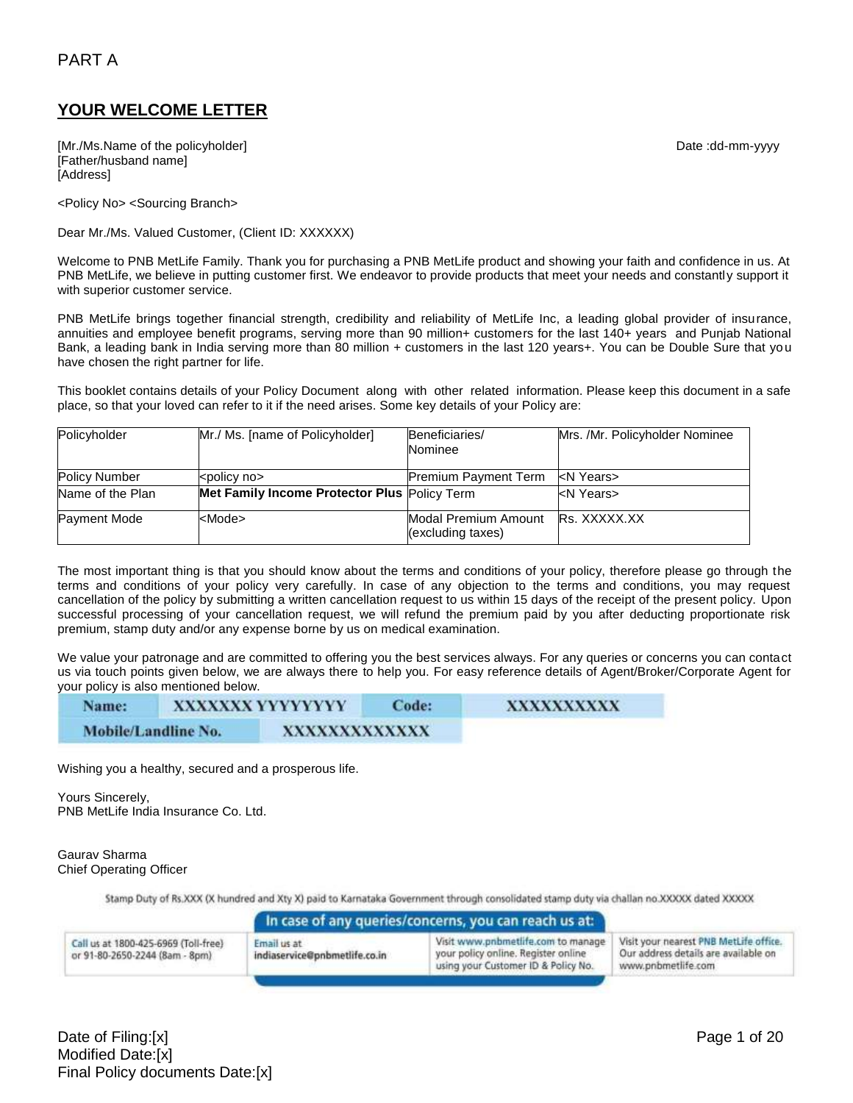# PART A

## **YOUR WELCOME LETTER**

[Mr./Ms.Name of the policyholder] example and the policyholder of the policyholder] and the control of the policyholder of the policyholder of the policyholder of the policyholder of the policyholder of the policyholder of [Father/husband name] [Address]

<Policy No> <Sourcing Branch>

Dear Mr./Ms. Valued Customer, (Client ID: XXXXXX)

Welcome to PNB MetLife Family. Thank you for purchasing a PNB MetLife product and showing your faith and confidence in us. At PNB MetLife, we believe in putting customer first. We endeavor to provide products that meet your needs and constantly support it with superior customer service.

PNB MetLife brings together financial strength, credibility and reliability of MetLife Inc, a leading global provider of insurance, annuities and employee benefit programs, serving more than 90 million+ customers for the last 140+ years and Punjab National Bank, a leading bank in India serving more than 80 million + customers in the last 120 years+. You can be Double Sure that you have chosen the right partner for life.

This booklet contains details of your Policy Document along with other related information. Please keep this document in a safe place, so that your loved can refer to it if the need arises. Some key details of your Policy are:

| Policyholder         | Mr./ Ms. [name of Policyholder]              | Beneficiaries/                            | Mrs. /Mr. Policyholder Nominee |
|----------------------|----------------------------------------------|-------------------------------------------|--------------------------------|
|                      |                                              | Nominee                                   |                                |
| <b>Policy Number</b> | <policy no=""></policy>                      | <b>Premium Payment Term</b>               | kN Years>                      |
| Name of the Plan     | Met Family Income Protector Plus Policy Term |                                           | <n years=""></n>               |
| <b>Payment Mode</b>  | <mode></mode>                                | Modal Premium Amount<br>(excluding taxes) | Rs. XXXXX.XX                   |

The most important thing is that you should know about the terms and conditions of your policy, therefore please go through the terms and conditions of your policy very carefully. In case of any objection to the terms and conditions, you may request cancellation of the policy by submitting a written cancellation request to us within 15 days of the receipt of the present policy. Upon successful processing of your cancellation request, we will refund the premium paid by you after deducting proportionate risk premium, stamp duty and/or any expense borne by us on medical examination.

We value your patronage and are committed to offering you the best services always. For any queries or concerns you can contact us via touch points given below, we are always there to help you. For easy reference details of Agent/Broker/Corporate Agent for your policy is also mentioned below.

| Name:               | XXXXXXXYYYYYYYY | Code:         | XXXXXXXXXX |
|---------------------|-----------------|---------------|------------|
| Mobile/Landline No. |                 | XXXXXXXXXXXXX |            |

Wishing you a healthy, secured and a prosperous life.

Yours Sincerely, PNB MetLife India Insurance Co. Ltd.

#### Gaurav Sharma Chief Operating Officer

Stamp Duty of Rs.XXX (X hundred and Xty X) paid to Karnataka Government through consolidated stamp duty via challan no.XXXXX dated XXXXX

|                                                                        |                                              | In case of any queries/concerns, you can reach us at:                                                            |                                                                                                      |
|------------------------------------------------------------------------|----------------------------------------------|------------------------------------------------------------------------------------------------------------------|------------------------------------------------------------------------------------------------------|
| Call us at 1800-425-6969 (Toll-free)<br>or 91-80-2650-2244 (8am - 8pm) | Email us at<br>indiaservice@pnbmetlife.co.in | Visit www.pnbmetlife.com to manage<br>your policy online. Register online<br>using your Customer ID & Policy No. | Visit your nearest PNB MetLife office.<br>Our address details are available on<br>www.pnbmetlife.com |

Date of Filing:[x] Page 1 of 20 Modified Date:[x] Final Policy documents Date:[x]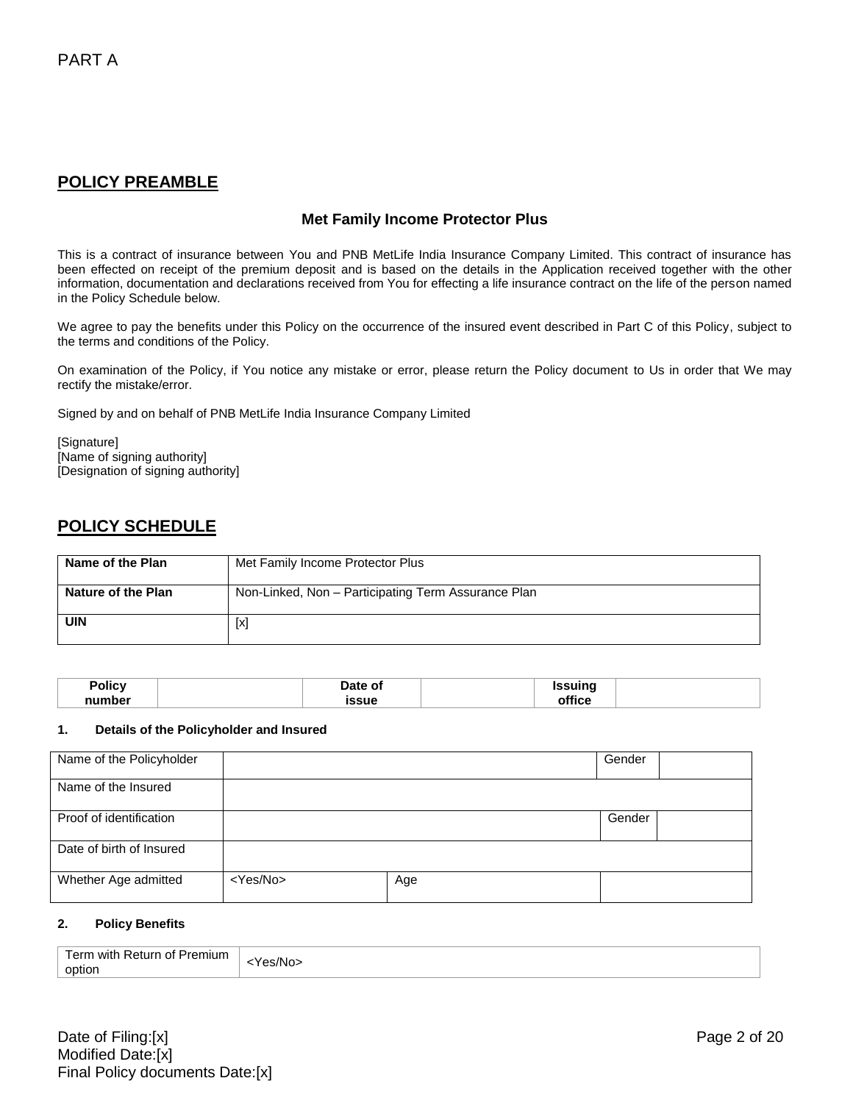## **POLICY PREAMBLE**

### **Met Family Income Protector Plus**

This is a contract of insurance between You and PNB MetLife India Insurance Company Limited. This contract of insurance has been effected on receipt of the premium deposit and is based on the details in the Application received together with the other information, documentation and declarations received from You for effecting a life insurance contract on the life of the person named in the Policy Schedule below.

We agree to pay the benefits under this Policy on the occurrence of the insured event described in Part C of this Policy, subject to the terms and conditions of the Policy.

On examination of the Policy, if You notice any mistake or error, please return the Policy document to Us in order that We may rectify the mistake/error.

Signed by and on behalf of PNB MetLife India Insurance Company Limited

[Signature] [Name of signing authority] [Designation of signing authority]

# **POLICY SCHEDULE**

| Name of the Plan   | Met Family Income Protector Plus                    |
|--------------------|-----------------------------------------------------|
| Nature of the Plan | Non-Linked, Non - Participating Term Assurance Plan |
| <b>UIN</b>         | [x]                                                 |

| Policy | Date of<br>.   | <b>Issuinc</b><br>$\sim$ |  |
|--------|----------------|--------------------------|--|
| number | issue<br>_____ | <br>∠rfice<br>.          |  |

#### **1. Details of the Policyholder and Insured**

| Name of the Policyholder |                   |     | Gender |  |
|--------------------------|-------------------|-----|--------|--|
| Name of the Insured      |                   |     |        |  |
| Proof of identification  |                   |     | Gender |  |
| Date of birth of Insured |                   |     |        |  |
| Whether Age admitted     | <yes no=""></yes> | Age |        |  |

#### **2. Policy Benefits**

| Term with Return of Premium | -Yes/No> |
|-----------------------------|----------|
| option                      |          |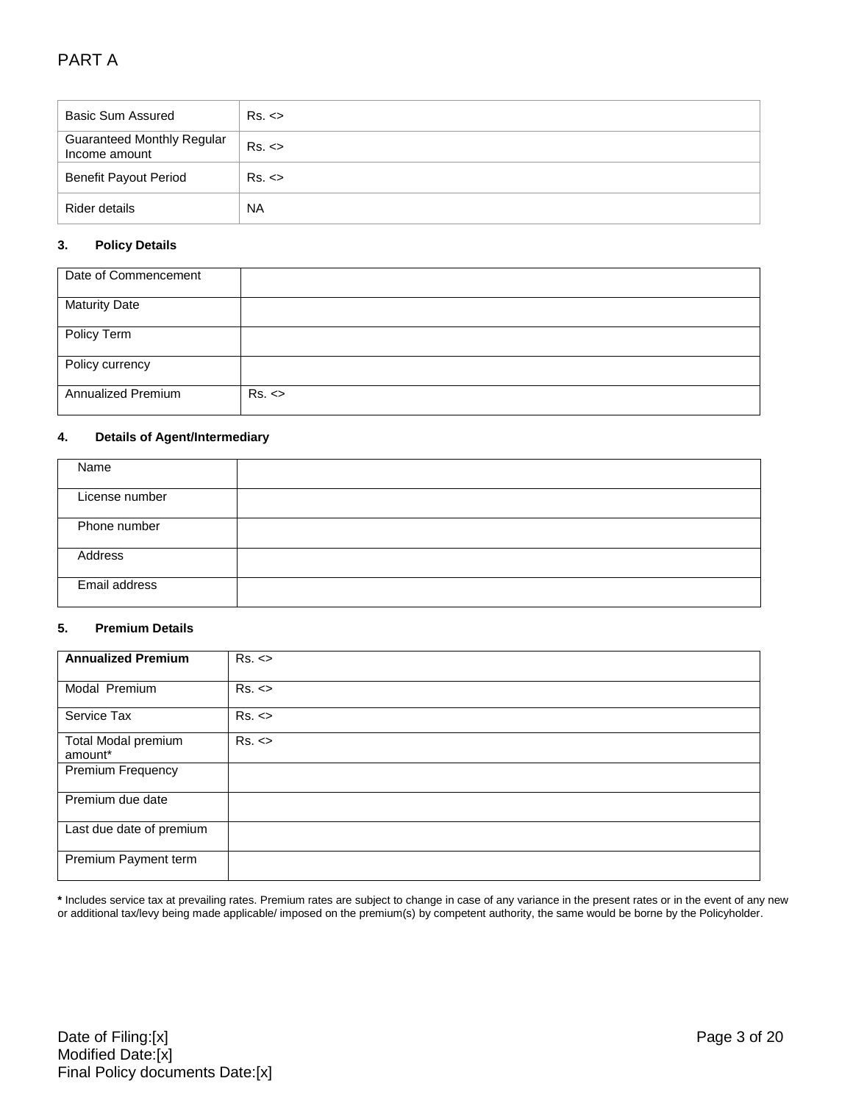# PART A

| <b>Basic Sum Assured</b>                           | Rs. <     |
|----------------------------------------------------|-----------|
| <b>Guaranteed Monthly Regular</b><br>Income amount | Rs. <     |
| <b>Benefit Payout Period</b>                       | Rs. <     |
| Rider details                                      | <b>NA</b> |

### **3. Policy Details**

| Date of Commencement      |       |
|---------------------------|-------|
| <b>Maturity Date</b>      |       |
| Policy Term               |       |
| Policy currency           |       |
| <b>Annualized Premium</b> | Rs. < |

#### **4. Details of Agent/Intermediary**

| Name           |  |
|----------------|--|
|                |  |
|                |  |
| License number |  |
|                |  |
|                |  |
| Phone number   |  |
|                |  |
|                |  |
| Address        |  |
|                |  |
|                |  |
| Email address  |  |
|                |  |
|                |  |

#### **5. Premium Details**

| <b>Annualized Premium</b>      | Rs. < |
|--------------------------------|-------|
| Modal Premium                  | Rs. < |
| Service Tax                    | Rs. < |
| Total Modal premium<br>amount* | Rs. < |
| Premium Frequency              |       |
| Premium due date               |       |
| Last due date of premium       |       |
| Premium Payment term           |       |

**\*** Includes service tax at prevailing rates. Premium rates are subject to change in case of any variance in the present rates or in the event of any new or additional tax/levy being made applicable/ imposed on the premium(s) by competent authority, the same would be borne by the Policyholder.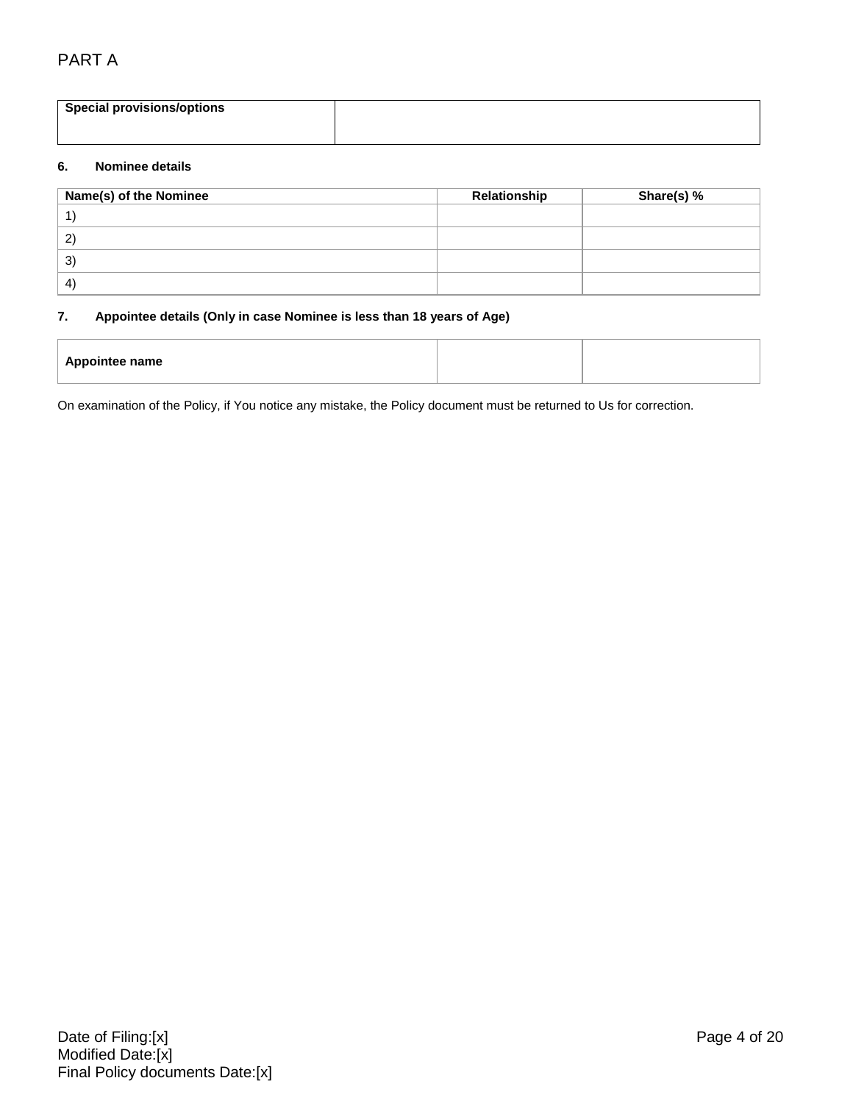# PART A

| <b>Special provisions/options</b> |  |
|-----------------------------------|--|
|                                   |  |
|                                   |  |
|                                   |  |
|                                   |  |

#### **6. Nominee details**

| Name(s) of the Nominee | Relationship | Share(s) % |
|------------------------|--------------|------------|
|                        |              |            |
| $\mathbf{2}$           |              |            |
| 3)                     |              |            |
| -4)                    |              |            |

#### **7. Appointee details (Only in case Nominee is less than 18 years of Age)**

| <b>Appointee name</b> |
|-----------------------|
|-----------------------|

On examination of the Policy, if You notice any mistake, the Policy document must be returned to Us for correction.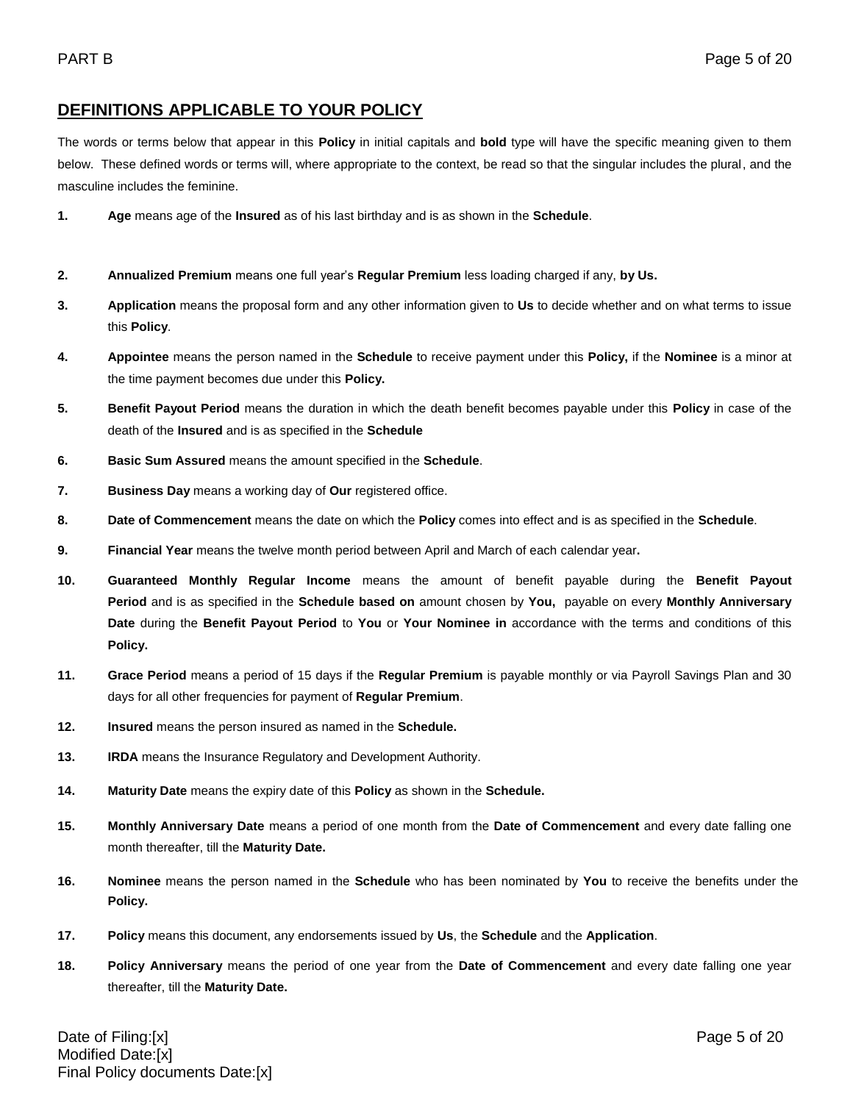# **DEFINITIONS APPLICABLE TO YOUR POLICY**

The words or terms below that appear in this **Policy** in initial capitals and **bold** type will have the specific meaning given to them below. These defined words or terms will, where appropriate to the context, be read so that the singular includes the plural, and the masculine includes the feminine.

- **1. Age** means age of the **Insured** as of his last birthday and is as shown in the **Schedule**.
- **2. Annualized Premium** means one full year's **Regular Premium** less loading charged if any, **by Us.**
- **3. Application** means the proposal form and any other information given to **Us** to decide whether and on what terms to issue this **Policy**.
- **4. Appointee** means the person named in the **Schedule** to receive payment under this **Policy,** if the **Nominee** is a minor at the time payment becomes due under this **Policy.**
- **5. Benefit Payout Period** means the duration in which the death benefit becomes payable under this **Policy** in case of the death of the **Insured** and is as specified in the **Schedule**
- **6. Basic Sum Assured** means the amount specified in the **Schedule**.
- **7. Business Day** means a working day of **Our** registered office.
- **8. Date of Commencement** means the date on which the **Policy** comes into effect and is as specified in the **Schedule**.
- **9. Financial Year** means the twelve month period between April and March of each calendar year**.**
- **10. Guaranteed Monthly Regular Income** means the amount of benefit payable during the **Benefit Payout Period** and is as specified in the **Schedule based on** amount chosen by **You,** payable on every **Monthly Anniversary Date** during the **Benefit Payout Period** to **You** or **Your Nominee in** accordance with the terms and conditions of this **Policy.**
- **11. Grace Period** means a period of 15 days if the **Regular Premium** is payable monthly or via Payroll Savings Plan and 30 days for all other frequencies for payment of **Regular Premium**.
- **12. Insured** means the person insured as named in the **Schedule.**
- **13. IRDA** means the Insurance Regulatory and Development Authority.
- **14. Maturity Date** means the expiry date of this **Policy** as shown in the **Schedule.**
- **15. Monthly Anniversary Date** means a period of one month from the **Date of Commencement** and every date falling one month thereafter, till the **Maturity Date.**
- **16. Nominee** means the person named in the **Schedule** who has been nominated by **You** to receive the benefits under the **Policy.**
- **17. Policy** means this document, any endorsements issued by **Us**, the **Schedule** and the **Application**.
- **18. Policy Anniversary** means the period of one year from the **Date of Commencement** and every date falling one year thereafter, till the **Maturity Date.**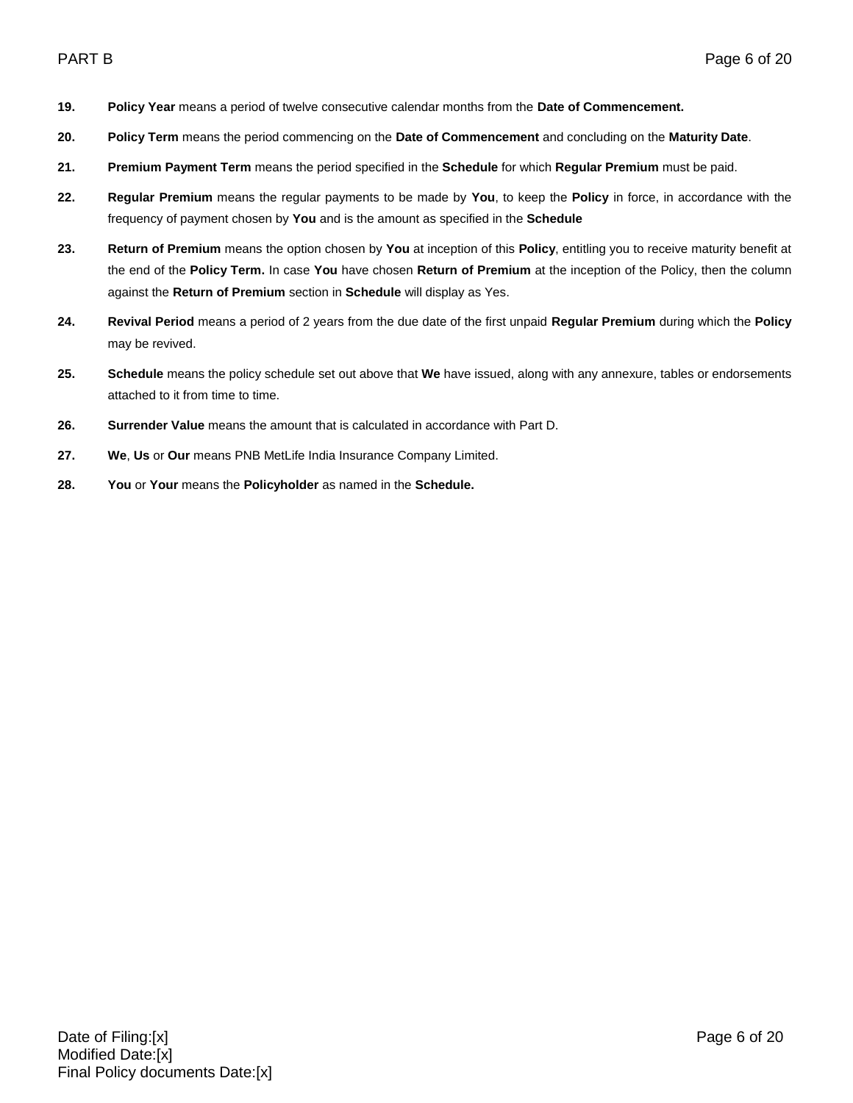- **19. Policy Year** means a period of twelve consecutive calendar months from the **Date of Commencement.**
- **20. Policy Term** means the period commencing on the **Date of Commencement** and concluding on the **Maturity Date**.
- **21. Premium Payment Term** means the period specified in the **Schedule** for which **Regular Premium** must be paid.
- **22. Regular Premium** means the regular payments to be made by **You**, to keep the **Policy** in force, in accordance with the frequency of payment chosen by **You** and is the amount as specified in the **Schedule**
- **23. Return of Premium** means the option chosen by **You** at inception of this **Policy**, entitling you to receive maturity benefit at the end of the **Policy Term.** In case **You** have chosen **Return of Premium** at the inception of the Policy, then the column against the **Return of Premium** section in **Schedule** will display as Yes.
- **24. Revival Period** means a period of 2 years from the due date of the first unpaid **Regular Premium** during which the **Policy** may be revived.
- **25. Schedule** means the policy schedule set out above that **We** have issued, along with any annexure, tables or endorsements attached to it from time to time.
- **26. Surrender Value** means the amount that is calculated in accordance with Part D.
- **27. We**, **Us** or **Our** means PNB MetLife India Insurance Company Limited.
- **28. You** or **Your** means the **Policyholder** as named in the **Schedule.**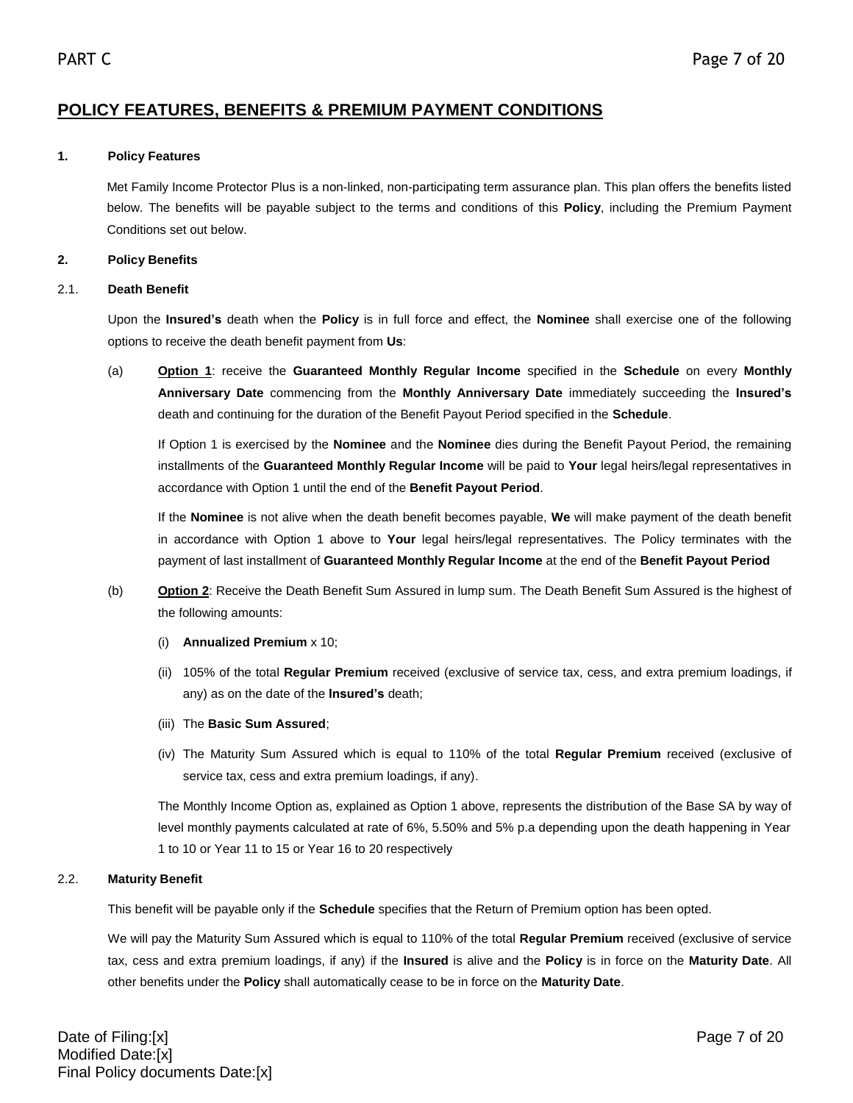# **POLICY FEATURES, BENEFITS & PREMIUM PAYMENT CONDITIONS**

### **1. Policy Features**

Met Family Income Protector Plus is a non-linked, non-participating term assurance plan. This plan offers the benefits listed below. The benefits will be payable subject to the terms and conditions of this **Policy**, including the Premium Payment Conditions set out below.

## **2. Policy Benefits**

### 2.1. **Death Benefit**

Upon the **Insured's** death when the **Policy** is in full force and effect, the **Nominee** shall exercise one of the following options to receive the death benefit payment from **Us**:

(a) **Option 1**: receive the **Guaranteed Monthly Regular Income** specified in the **Schedule** on every **Monthly Anniversary Date** commencing from the **Monthly Anniversary Date** immediately succeeding the **Insured's** death and continuing for the duration of the Benefit Payout Period specified in the **Schedule**.

If Option 1 is exercised by the **Nominee** and the **Nominee** dies during the Benefit Payout Period, the remaining installments of the **Guaranteed Monthly Regular Income** will be paid to **Your** legal heirs/legal representatives in accordance with Option 1 until the end of the **Benefit Payout Period**.

If the **Nominee** is not alive when the death benefit becomes payable, **We** will make payment of the death benefit in accordance with Option 1 above to **Your** legal heirs/legal representatives. The Policy terminates with the payment of last installment of **Guaranteed Monthly Regular Income** at the end of the **Benefit Payout Period**

- (b) **Option 2**: Receive the Death Benefit Sum Assured in lump sum. The Death Benefit Sum Assured is the highest of the following amounts:
	- (i) **Annualized Premium** x 10;
	- (ii) 105% of the total **Regular Premium** received (exclusive of service tax, cess, and extra premium loadings, if any) as on the date of the **Insured's** death;
	- (iii) The **Basic Sum Assured**;
	- (iv) The Maturity Sum Assured which is equal to 110% of the total **Regular Premium** received (exclusive of service tax, cess and extra premium loadings, if any).

The Monthly Income Option as, explained as Option 1 above, represents the distribution of the Base SA by way of level monthly payments calculated at rate of 6%, 5.50% and 5% p.a depending upon the death happening in Year 1 to 10 or Year 11 to 15 or Year 16 to 20 respectively

## 2.2. **Maturity Benefit**

This benefit will be payable only if the **Schedule** specifies that the Return of Premium option has been opted.

We will pay the Maturity Sum Assured which is equal to 110% of the total **Regular Premium** received (exclusive of service tax, cess and extra premium loadings, if any) if the **Insured** is alive and the **Policy** is in force on the **Maturity Date**. All other benefits under the **Policy** shall automatically cease to be in force on the **Maturity Date**.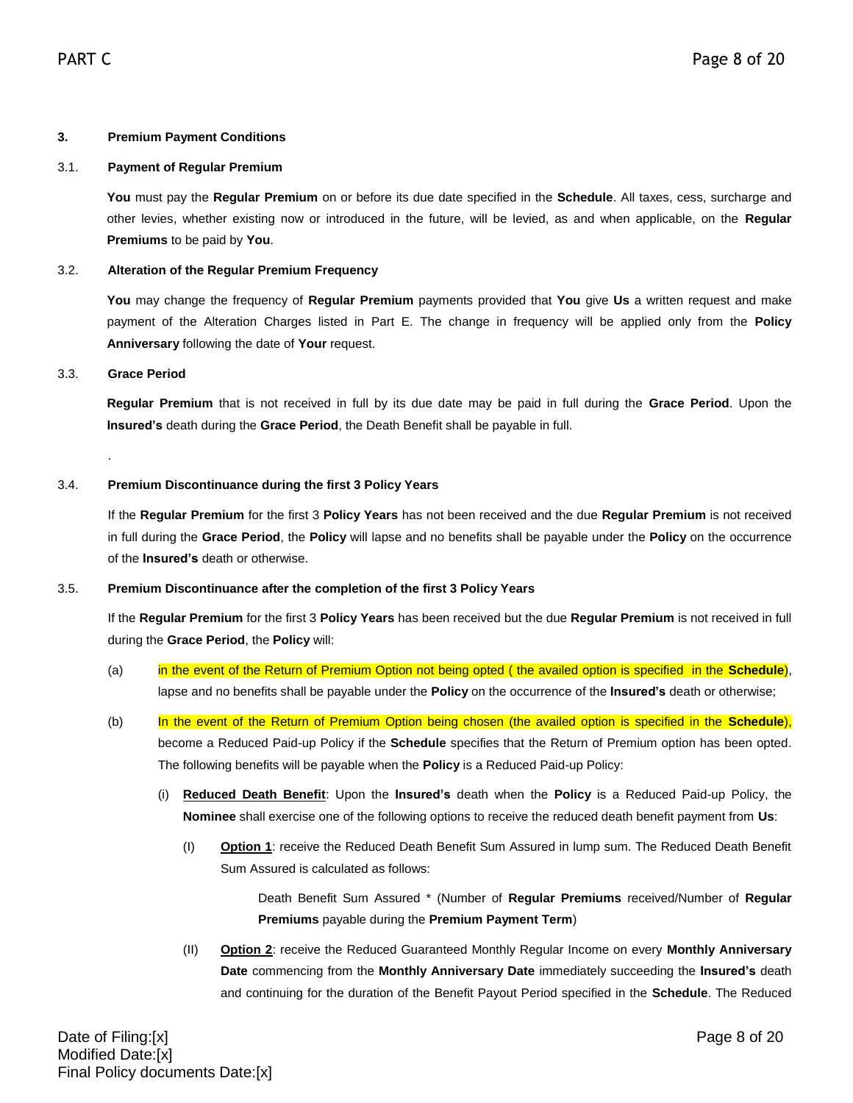#### **3. Premium Payment Conditions**

#### 3.1. **Payment of Regular Premium**

**You** must pay the **Regular Premium** on or before its due date specified in the **Schedule**. All taxes, cess, surcharge and other levies, whether existing now or introduced in the future, will be levied, as and when applicable, on the **Regular Premiums** to be paid by **You**.

#### 3.2. **Alteration of the Regular Premium Frequency**

**You** may change the frequency of **Regular Premium** payments provided that **You** give **Us** a written request and make payment of the Alteration Charges listed in Part E. The change in frequency will be applied only from the **Policy Anniversary** following the date of **Your** request.

#### 3.3. **Grace Period**

.

**Regular Premium** that is not received in full by its due date may be paid in full during the **Grace Period**. Upon the **Insured's** death during the **Grace Period**, the Death Benefit shall be payable in full.

#### 3.4. **Premium Discontinuance during the first 3 Policy Years**

If the **Regular Premium** for the first 3 **Policy Years** has not been received and the due **Regular Premium** is not received in full during the **Grace Period**, the **Policy** will lapse and no benefits shall be payable under the **Policy** on the occurrence of the **Insured's** death or otherwise.

#### 3.5. **Premium Discontinuance after the completion of the first 3 Policy Years**

If the **Regular Premium** for the first 3 **Policy Years** has been received but the due **Regular Premium** is not received in full during the **Grace Period**, the **Policy** will:

- (a) in the event of the Return of Premium Option not being opted ( the availed option is specified in the **Schedule**), lapse and no benefits shall be payable under the **Policy** on the occurrence of the **Insured's** death or otherwise;
- (b) In the event of the Return of Premium Option being chosen (the availed option is specified in the **Schedule**), become a Reduced Paid-up Policy if the **Schedule** specifies that the Return of Premium option has been opted. The following benefits will be payable when the **Policy** is a Reduced Paid-up Policy:
	- (i) **Reduced Death Benefit**: Upon the **Insured's** death when the **Policy** is a Reduced Paid-up Policy, the **Nominee** shall exercise one of the following options to receive the reduced death benefit payment from **Us**:
		- (I) **Option 1**: receive the Reduced Death Benefit Sum Assured in lump sum. The Reduced Death Benefit Sum Assured is calculated as follows:

Death Benefit Sum Assured \* (Number of **Regular Premiums** received/Number of **Regular Premiums** payable during the **Premium Payment Term**)

(II) **Option 2**: receive the Reduced Guaranteed Monthly Regular Income on every **Monthly Anniversary Date** commencing from the **Monthly Anniversary Date** immediately succeeding the **Insured's** death and continuing for the duration of the Benefit Payout Period specified in the **Schedule**. The Reduced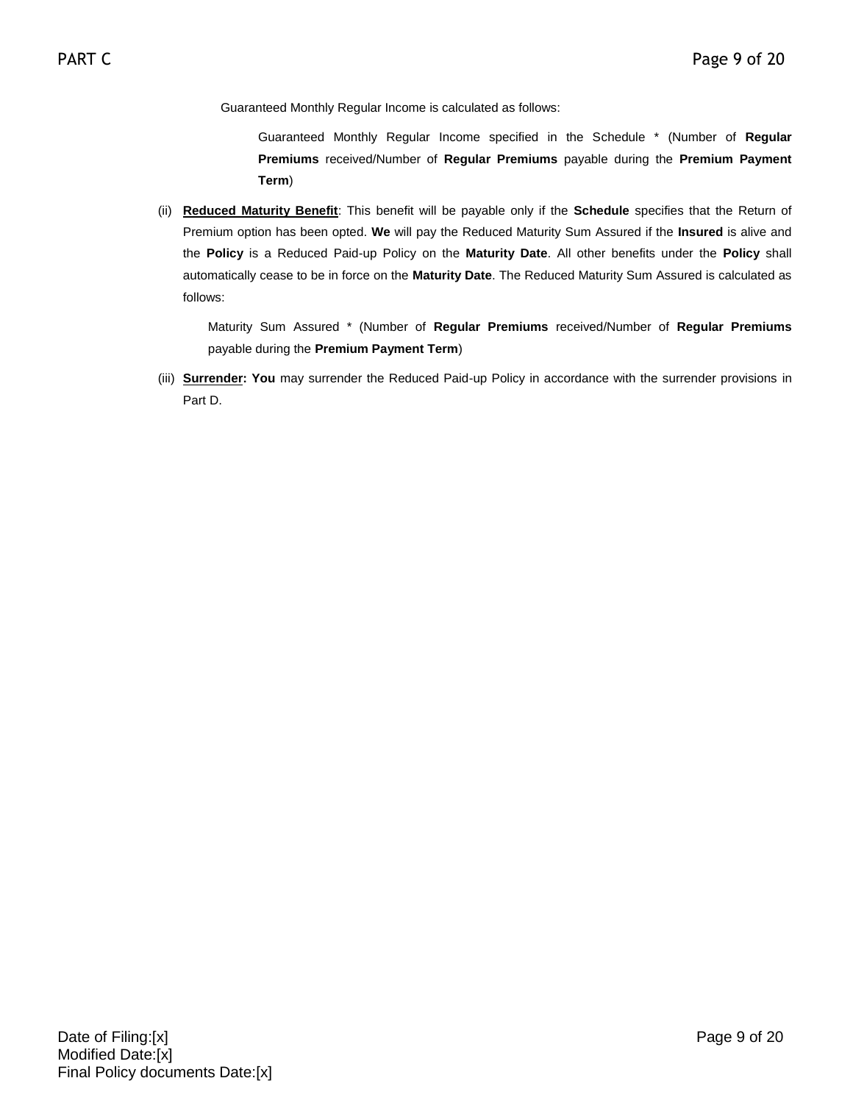Guaranteed Monthly Regular Income is calculated as follows:

Guaranteed Monthly Regular Income specified in the Schedule \* (Number of **Regular Premiums** received/Number of **Regular Premiums** payable during the **Premium Payment Term**)

(ii) **Reduced Maturity Benefit**: This benefit will be payable only if the **Schedule** specifies that the Return of Premium option has been opted. **We** will pay the Reduced Maturity Sum Assured if the **Insured** is alive and the **Policy** is a Reduced Paid-up Policy on the **Maturity Date**. All other benefits under the **Policy** shall automatically cease to be in force on the **Maturity Date**. The Reduced Maturity Sum Assured is calculated as follows:

Maturity Sum Assured \* (Number of **Regular Premiums** received/Number of **Regular Premiums** payable during the **Premium Payment Term**)

(iii) **Surrender: You** may surrender the Reduced Paid-up Policy in accordance with the surrender provisions in Part D.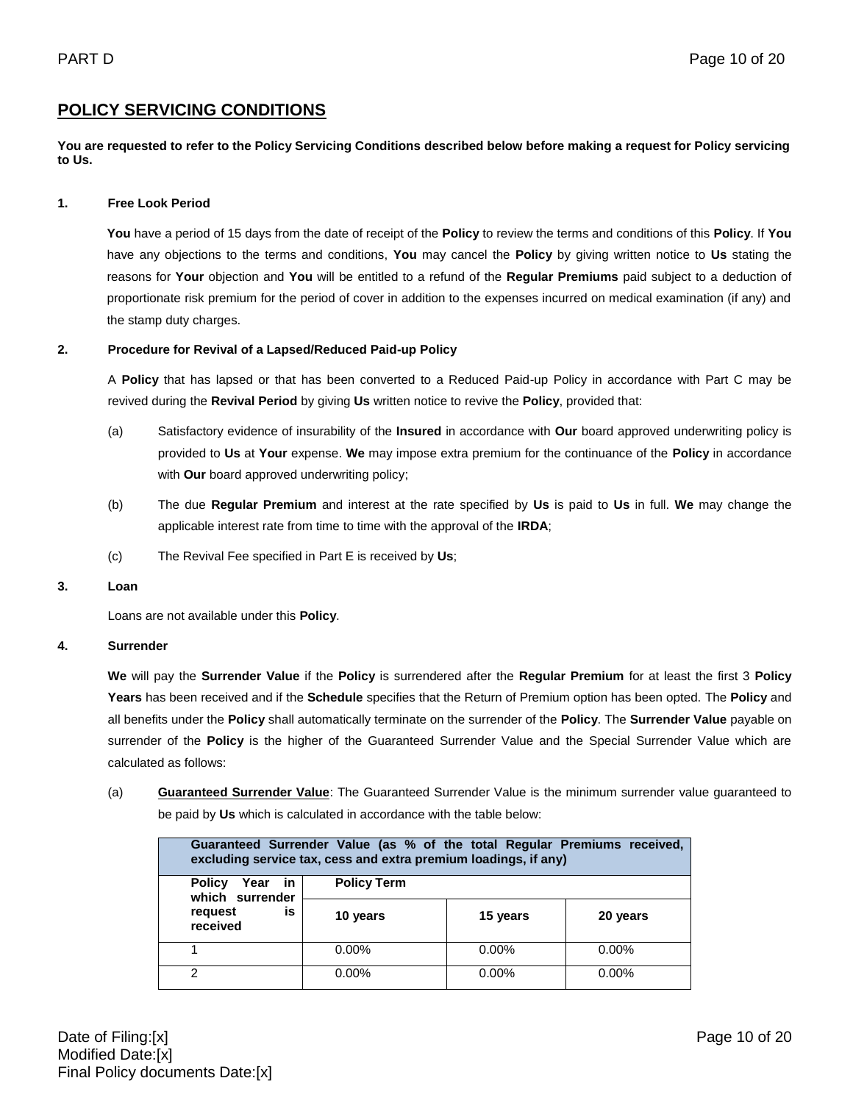### **POLICY SERVICING CONDITIONS**

**You are requested to refer to the Policy Servicing Conditions described below before making a request for Policy servicing to Us.**

#### **1. Free Look Period**

**You** have a period of 15 days from the date of receipt of the **Policy** to review the terms and conditions of this **Policy**. If **You**  have any objections to the terms and conditions, **You** may cancel the **Policy** by giving written notice to **Us** stating the reasons for **Your** objection and **You** will be entitled to a refund of the **Regular Premiums** paid subject to a deduction of proportionate risk premium for the period of cover in addition to the expenses incurred on medical examination (if any) and the stamp duty charges.

#### **2. Procedure for Revival of a Lapsed/Reduced Paid-up Policy**

A **Policy** that has lapsed or that has been converted to a Reduced Paid-up Policy in accordance with Part C may be revived during the **Revival Period** by giving **Us** written notice to revive the **Policy**, provided that:

- (a) Satisfactory evidence of insurability of the **Insured** in accordance with **Our** board approved underwriting policy is provided to **Us** at **Your** expense. **We** may impose extra premium for the continuance of the **Policy** in accordance with **Our** board approved underwriting policy;
- (b) The due **Regular Premium** and interest at the rate specified by **Us** is paid to **Us** in full. **We** may change the applicable interest rate from time to time with the approval of the **IRDA**;
- (c) The Revival Fee specified in Part E is received by **Us**;

#### **3. Loan**

Loans are not available under this **Policy**.

#### **4. Surrender**

**We** will pay the **Surrender Value** if the **Policy** is surrendered after the **Regular Premium** for at least the first 3 **Policy Years** has been received and if the **Schedule** specifies that the Return of Premium option has been opted. The **Policy** and all benefits under the **Policy** shall automatically terminate on the surrender of the **Policy**. The **Surrender Value** payable on surrender of the **Policy** is the higher of the Guaranteed Surrender Value and the Special Surrender Value which are calculated as follows:

(a) **Guaranteed Surrender Value**: The Guaranteed Surrender Value is the minimum surrender value guaranteed to be paid by **Us** which is calculated in accordance with the table below:

| Guaranteed Surrender Value (as % of the total Regular Premiums received,<br>excluding service tax, cess and extra premium loadings, if any) |                    |          |          |
|---------------------------------------------------------------------------------------------------------------------------------------------|--------------------|----------|----------|
| <b>Policy</b><br>Year in<br>which surrender                                                                                                 | <b>Policy Term</b> |          |          |
| is<br>request<br>received                                                                                                                   | 10 years           | 15 years | 20 years |
|                                                                                                                                             | $0.00\%$           | $0.00\%$ | 0.00%    |
| 2                                                                                                                                           | $0.00\%$           | $0.00\%$ | 0.00%    |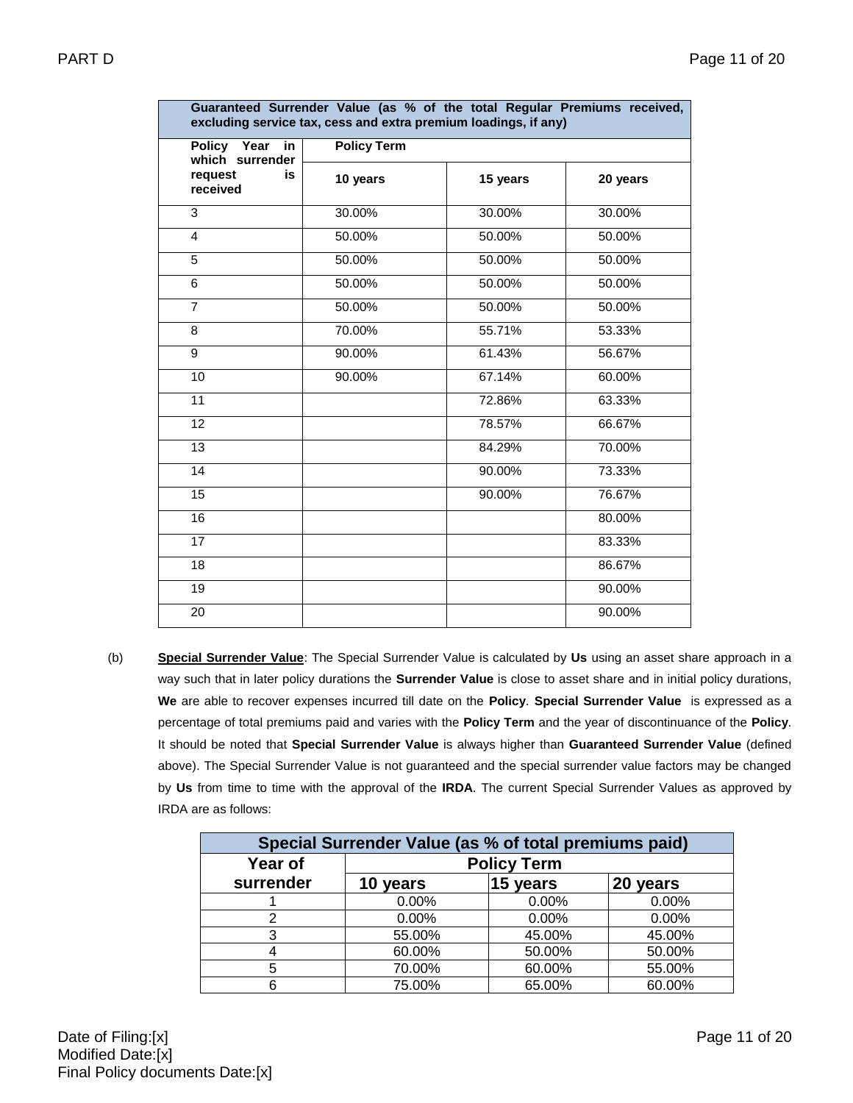Г

| excluding service tax, cess and extra premium loadings, if any) |                    |          |          |
|-----------------------------------------------------------------|--------------------|----------|----------|
| Policy Year<br>in<br>which surrender                            | <b>Policy Term</b> |          |          |
| request<br>is<br>received                                       | 10 years           | 15 years | 20 years |
| $\overline{3}$                                                  | 30.00%             | 30.00%   | 30.00%   |
| $\overline{4}$                                                  | 50.00%             | 50.00%   | 50.00%   |
| 5                                                               | 50.00%             | 50.00%   | 50.00%   |
| 6                                                               | 50.00%             | 50.00%   | 50.00%   |
| $\overline{7}$                                                  | 50.00%             | 50.00%   | 50.00%   |
| $\overline{8}$                                                  | 70.00%             | 55.71%   | 53.33%   |
| 9                                                               | 90.00%             | 61.43%   | 56.67%   |
| $\overline{10}$                                                 | 90.00%             | 67.14%   | 60.00%   |
| $\overline{11}$                                                 |                    | 72.86%   | 63.33%   |
| $\overline{12}$                                                 |                    | 78.57%   | 66.67%   |
| $\overline{13}$                                                 |                    | 84.29%   | 70.00%   |
| 14                                                              |                    | 90.00%   | 73.33%   |
| $\overline{15}$                                                 |                    | 90.00%   | 76.67%   |
| 16                                                              |                    |          | 80.00%   |
| $\overline{17}$                                                 |                    |          | 83.33%   |
| $\overline{18}$                                                 |                    |          | 86.67%   |
| $\overline{19}$                                                 |                    |          | 90.00%   |
| 20                                                              |                    |          | 90.00%   |

**Guaranteed Surrender Value (as % of the total Regular Premiums received,** 

(b) **Special Surrender Value**: The Special Surrender Value is calculated by **Us** using an asset share approach in a way such that in later policy durations the **Surrender Value** is close to asset share and in initial policy durations, **We** are able to recover expenses incurred till date on the **Policy**. **Special Surrender Value** is expressed as a percentage of total premiums paid and varies with the **Policy Term** and the year of discontinuance of the **Policy**. It should be noted that **Special Surrender Value** is always higher than **Guaranteed Surrender Value** (defined above). The Special Surrender Value is not guaranteed and the special surrender value factors may be changed by **Us** from time to time with the approval of the **IRDA**. The current Special Surrender Values as approved by IRDA are as follows:

| Special Surrender Value (as % of total premiums paid) |                    |          |          |
|-------------------------------------------------------|--------------------|----------|----------|
| Year of                                               | <b>Policy Term</b> |          |          |
| surrender                                             | 10 years           | 15 years | 20 years |
|                                                       | 0.00%              | 0.00%    | 0.00%    |
| 2                                                     | 0.00%              | 0.00%    | 0.00%    |
| 3                                                     | 55.00%             | 45.00%   | 45.00%   |
|                                                       | 60.00%             | 50.00%   | 50.00%   |
| 5                                                     | 70.00%             | 60.00%   | 55.00%   |
| 6                                                     | 75.00%             | 65.00%   | 60.00%   |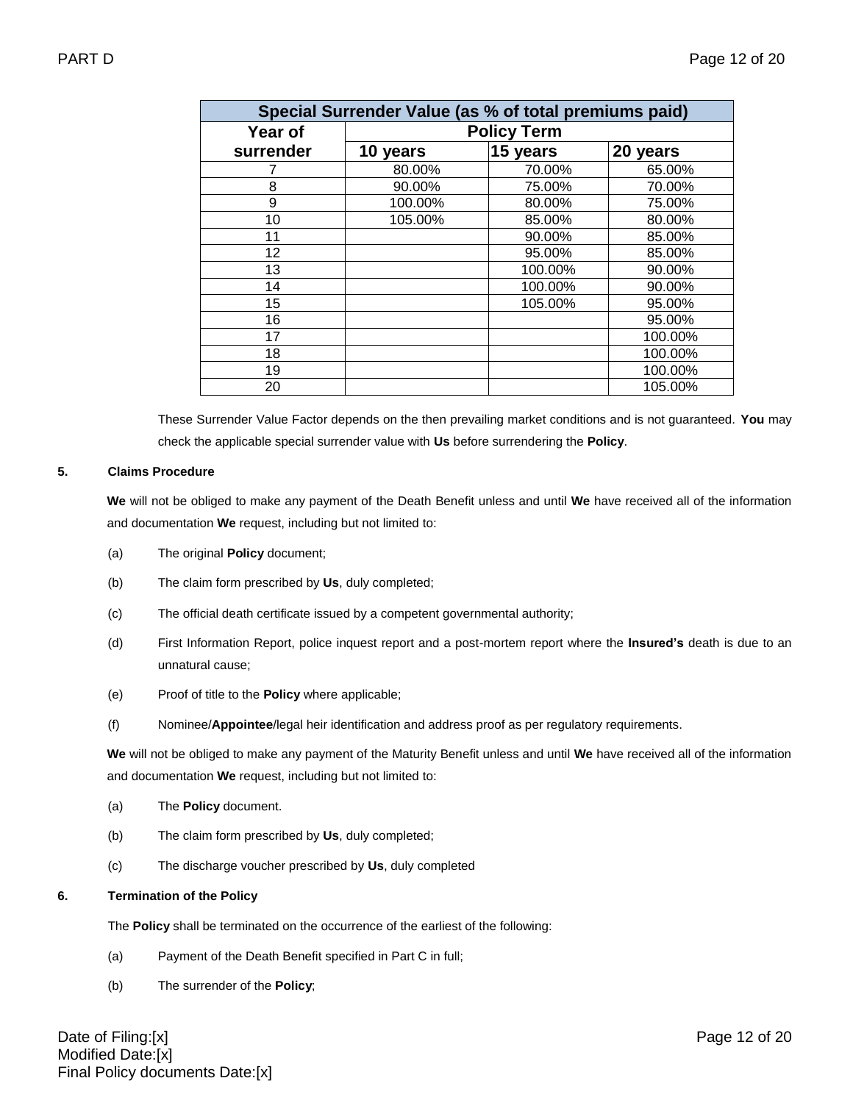| Special Surrender Value (as % of total premiums paid) |                    |          |          |
|-------------------------------------------------------|--------------------|----------|----------|
| Year of                                               | <b>Policy Term</b> |          |          |
| surrender                                             | 10 years           | 15 years | 20 years |
|                                                       | 80.00%             | 70.00%   | 65.00%   |
| 8                                                     | 90.00%             | 75.00%   | 70.00%   |
| 9                                                     | 100.00%            | 80.00%   | 75.00%   |
| 10                                                    | 105.00%            | 85.00%   | 80.00%   |
| 11                                                    |                    | 90.00%   | 85.00%   |
| 12                                                    |                    | 95.00%   | 85.00%   |
| 13                                                    |                    | 100.00%  | 90.00%   |
| 14                                                    |                    | 100.00%  | 90.00%   |
| 15                                                    |                    | 105.00%  | 95.00%   |
| 16                                                    |                    |          | 95.00%   |
| 17                                                    |                    |          | 100.00%  |
| 18                                                    |                    |          | 100.00%  |
| 19                                                    |                    |          | 100.00%  |
| 20                                                    |                    |          | 105.00%  |

These Surrender Value Factor depends on the then prevailing market conditions and is not guaranteed. **You** may check the applicable special surrender value with **Us** before surrendering the **Policy**.

#### **5. Claims Procedure**

**We** will not be obliged to make any payment of the Death Benefit unless and until **We** have received all of the information and documentation **We** request, including but not limited to:

- (a) The original **Policy** document;
- (b) The claim form prescribed by **Us**, duly completed;
- (c) The official death certificate issued by a competent governmental authority;
- (d) First Information Report, police inquest report and a post-mortem report where the **Insured's** death is due to an unnatural cause;
- (e) Proof of title to the **Policy** where applicable;
- (f) Nominee/**Appointee**/legal heir identification and address proof as per regulatory requirements.

**We** will not be obliged to make any payment of the Maturity Benefit unless and until **We** have received all of the information and documentation **We** request, including but not limited to:

- (a) The **Policy** document.
- (b) The claim form prescribed by **Us**, duly completed;
- (c) The discharge voucher prescribed by **Us**, duly completed

#### **6. Termination of the Policy**

The **Policy** shall be terminated on the occurrence of the earliest of the following:

- (a) Payment of the Death Benefit specified in Part C in full;
- (b) The surrender of the **Policy**;

Date of Filing:[x] Page 12 of 20 Modified Date:[x] Final Policy documents Date:[x]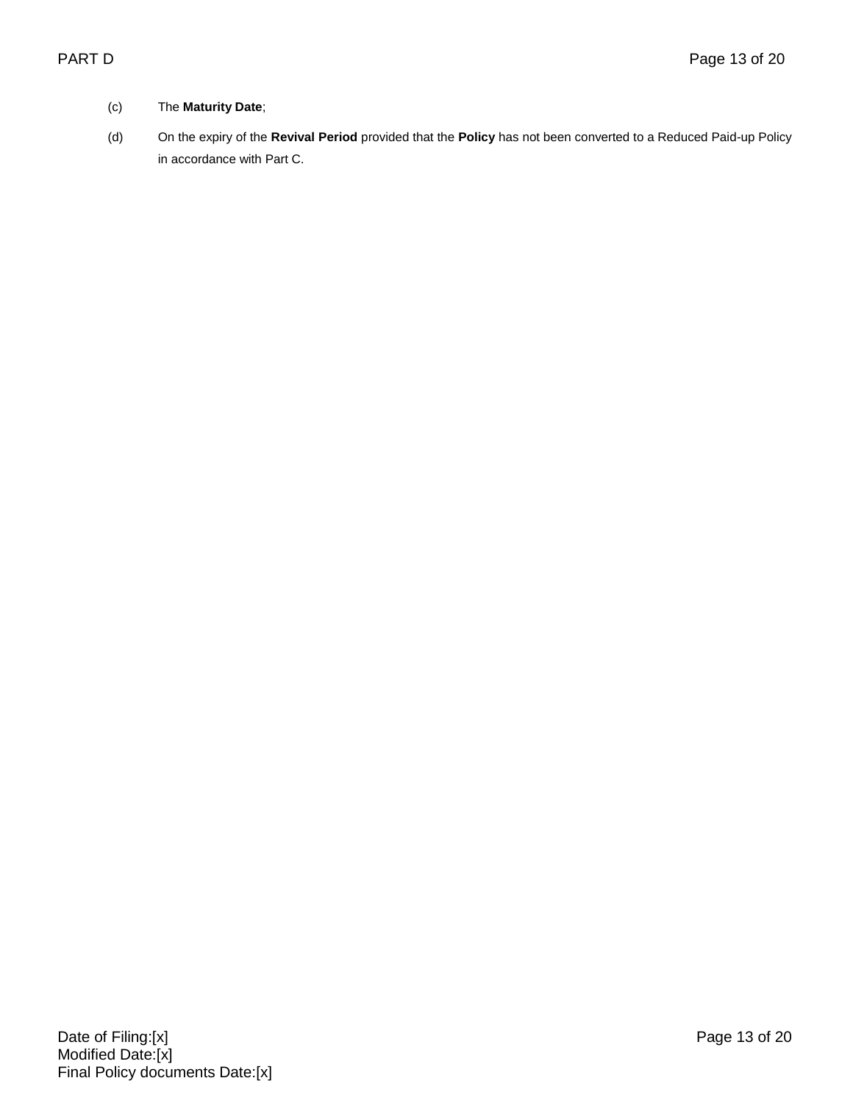### (c) The **Maturity Date**;

(d) On the expiry of the **Revival Period** provided that the **Policy** has not been converted to a Reduced Paid-up Policy in accordance with Part C.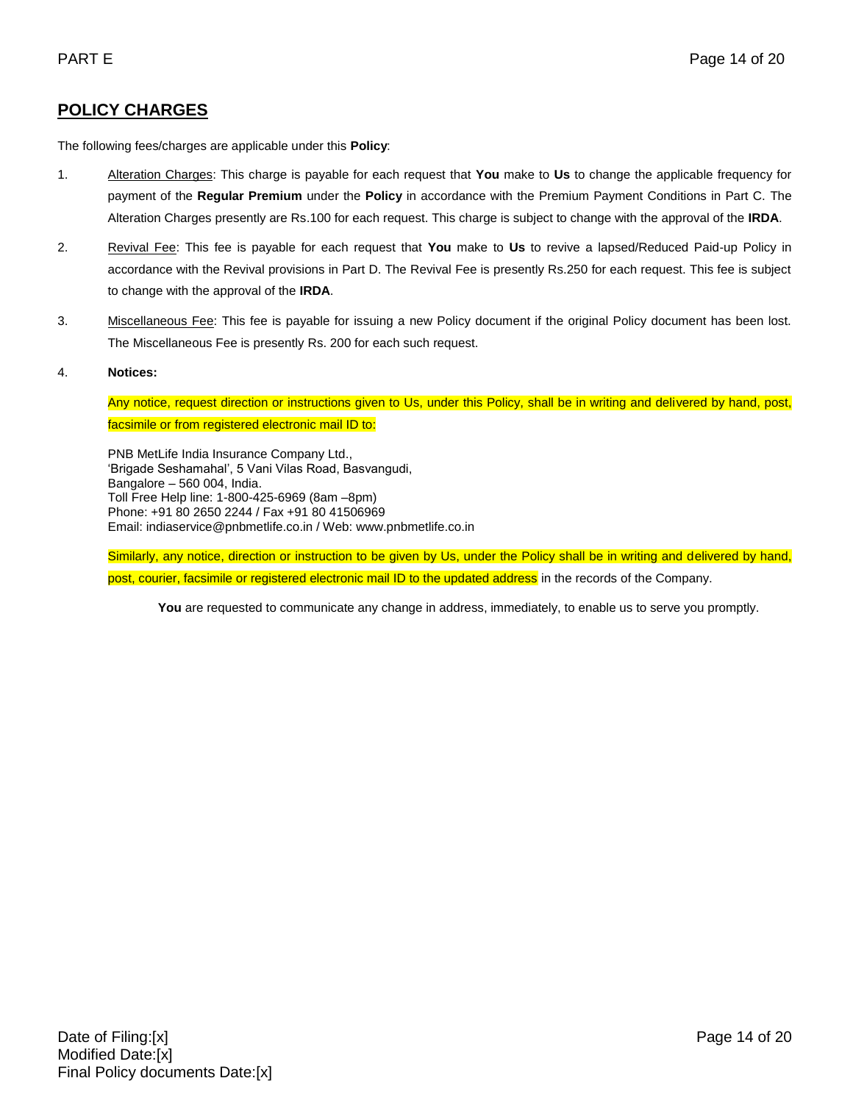# **POLICY CHARGES**

The following fees/charges are applicable under this **Policy**:

- 1. Alteration Charges: This charge is payable for each request that **You** make to **Us** to change the applicable frequency for payment of the **Regular Premium** under the **Policy** in accordance with the Premium Payment Conditions in Part C. The Alteration Charges presently are Rs.100 for each request. This charge is subject to change with the approval of the **IRDA**.
- 2. Revival Fee: This fee is payable for each request that **You** make to **Us** to revive a lapsed/Reduced Paid-up Policy in accordance with the Revival provisions in Part D. The Revival Fee is presently Rs.250 for each request. This fee is subject to change with the approval of the **IRDA**.
- 3. Miscellaneous Fee: This fee is payable for issuing a new Policy document if the original Policy document has been lost. The Miscellaneous Fee is presently Rs. 200 for each such request.

#### 4. **Notices:**

Any notice, request direction or instructions given to Us, under this Policy, shall be in writing and delivered by hand, post, facsimile or from registered electronic mail ID to:

PNB MetLife India Insurance Company Ltd., 'Brigade Seshamahal', 5 Vani Vilas Road, Basvangudi, Bangalore – 560 004, India. Toll Free Help line: 1-800-425-6969 (8am –8pm) Phone: +91 80 2650 2244 / Fax +91 80 41506969 Email: indiaservice@pnbmetlife.co.in / Web[: www.pnbmetlife.co.in](http://www.pnbmetlife.co.in/)

Similarly, any notice, direction or instruction to be given by Us, under the Policy shall be in writing and delivered by hand, post, courier, facsimile or registered electronic mail ID to the updated address in the records of the Company.

You are requested to communicate any change in address, immediately, to enable us to serve you promptly.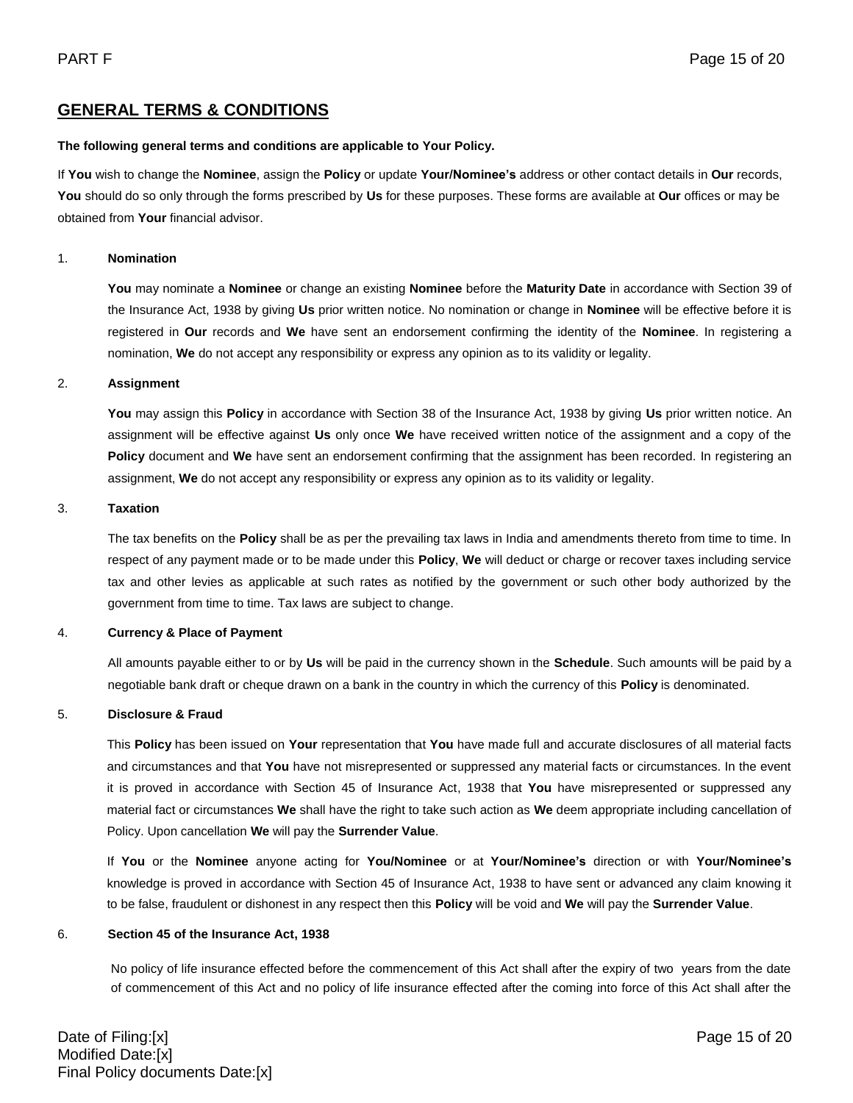### **GENERAL TERMS & CONDITIONS**

#### **The following general terms and conditions are applicable to Your Policy.**

If **You** wish to change the **Nominee**, assign the **Policy** or update **Your/Nominee's** address or other contact details in **Our** records, **You** should do so only through the forms prescribed by **Us** for these purposes. These forms are available at **Our** offices or may be obtained from **Your** financial advisor.

#### 1. **Nomination**

**You** may nominate a **Nominee** or change an existing **Nominee** before the **Maturity Date** in accordance with Section 39 of the Insurance Act, 1938 by giving **Us** prior written notice. No nomination or change in **Nominee** will be effective before it is registered in **Our** records and **We** have sent an endorsement confirming the identity of the **Nominee**. In registering a nomination, **We** do not accept any responsibility or express any opinion as to its validity or legality.

#### 2. **Assignment**

**You** may assign this **Policy** in accordance with Section 38 of the Insurance Act, 1938 by giving **Us** prior written notice. An assignment will be effective against **Us** only once **We** have received written notice of the assignment and a copy of the **Policy** document and **We** have sent an endorsement confirming that the assignment has been recorded. In registering an assignment, **We** do not accept any responsibility or express any opinion as to its validity or legality.

#### 3. **Taxation**

The tax benefits on the **Policy** shall be as per the prevailing tax laws in India and amendments thereto from time to time. In respect of any payment made or to be made under this **Policy**, **We** will deduct or charge or recover taxes including service tax and other levies as applicable at such rates as notified by the government or such other body authorized by the government from time to time. Tax laws are subject to change.

#### 4. **Currency & Place of Payment**

All amounts payable either to or by **Us** will be paid in the currency shown in the **Schedule**. Such amounts will be paid by a negotiable bank draft or cheque drawn on a bank in the country in which the currency of this **Policy** is denominated.

#### 5. **Disclosure & Fraud**

This **Policy** has been issued on **Your** representation that **You** have made full and accurate disclosures of all material facts and circumstances and that **You** have not misrepresented or suppressed any material facts or circumstances. In the event it is proved in accordance with Section 45 of Insurance Act, 1938 that **You** have misrepresented or suppressed any material fact or circumstances **We** shall have the right to take such action as **We** deem appropriate including cancellation of Policy. Upon cancellation **We** will pay the **Surrender Value**.

If **You** or the **Nominee** anyone acting for **You/Nominee** or at **Your/Nominee's** direction or with **Your/Nominee's** knowledge is proved in accordance with Section 45 of Insurance Act, 1938 to have sent or advanced any claim knowing it to be false, fraudulent or dishonest in any respect then this **Policy** will be void and **We** will pay the **Surrender Value**.

#### 6. **Section 45 of the Insurance Act, 1938**

No policy of life insurance effected before the commencement of this Act shall after the expiry of two years from the date of commencement of this Act and no policy of life insurance effected after the coming into force of this Act shall after the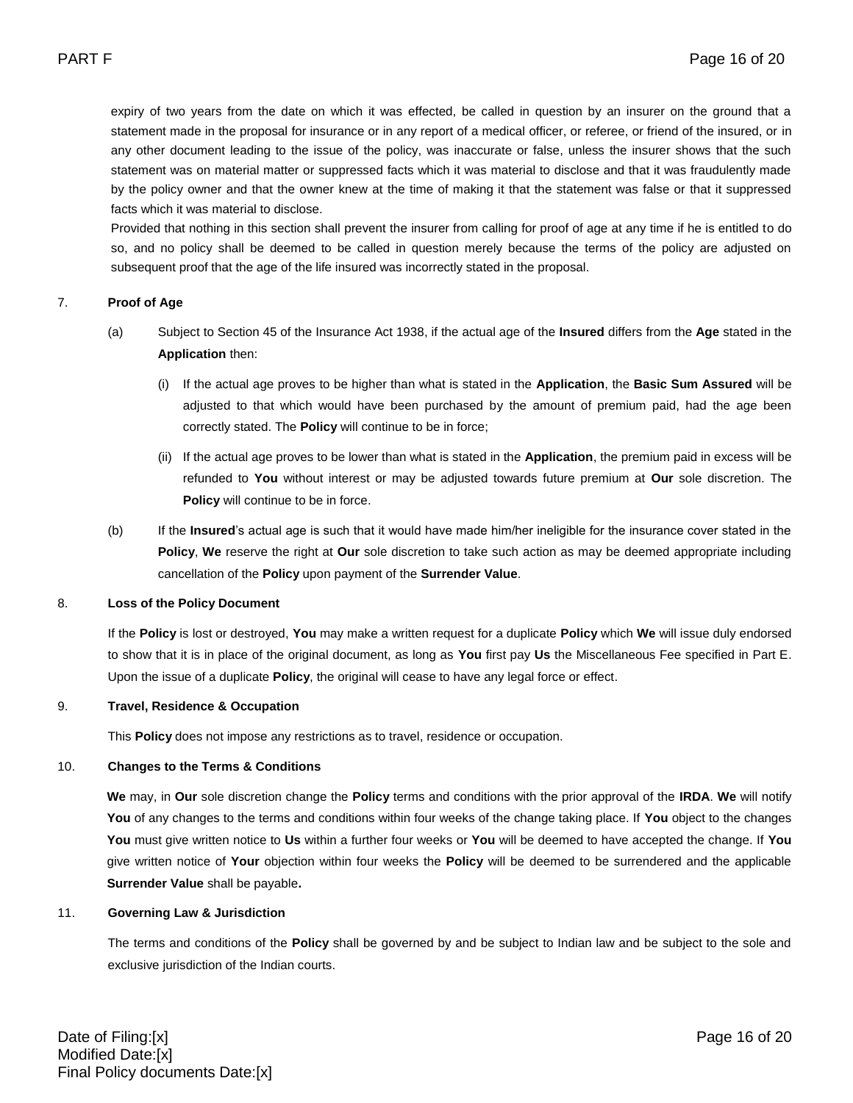expiry of two years from the date on which it was effected, be called in question by an insurer on the ground that a statement made in the proposal for insurance or in any report of a medical officer, or referee, or friend of the insured, or in any other document leading to the issue of the policy, was inaccurate or false, unless the insurer shows that the such statement was on material matter or suppressed facts which it was material to disclose and that it was fraudulently made by the policy owner and that the owner knew at the time of making it that the statement was false or that it suppressed facts which it was material to disclose.

Provided that nothing in this section shall prevent the insurer from calling for proof of age at any time if he is entitled to do so, and no policy shall be deemed to be called in question merely because the terms of the policy are adjusted on subsequent proof that the age of the life insured was incorrectly stated in the proposal.

#### 7. **Proof of Age**

- (a) Subject to Section 45 of the Insurance Act 1938, if the actual age of the **Insured** differs from the **Age** stated in the **Application** then:
	- (i) If the actual age proves to be higher than what is stated in the **Application**, the **Basic Sum Assured** will be adjusted to that which would have been purchased by the amount of premium paid, had the age been correctly stated. The **Policy** will continue to be in force;
	- (ii) If the actual age proves to be lower than what is stated in the **Application**, the premium paid in excess will be refunded to **You** without interest or may be adjusted towards future premium at **Our** sole discretion. The **Policy** will continue to be in force.
- (b) If the **Insured**'s actual age is such that it would have made him/her ineligible for the insurance cover stated in the **Policy**, **We** reserve the right at **Our** sole discretion to take such action as may be deemed appropriate including cancellation of the **Policy** upon payment of the **Surrender Value**.

#### 8. **Loss of the Policy Document**

If the **Policy** is lost or destroyed, **You** may make a written request for a duplicate **Policy** which **We** will issue duly endorsed to show that it is in place of the original document, as long as **You** first pay **Us** the Miscellaneous Fee specified in Part E. Upon the issue of a duplicate **Policy**, the original will cease to have any legal force or effect.

#### 9. **Travel, Residence & Occupation**

This **Policy** does not impose any restrictions as to travel, residence or occupation.

#### 10. **Changes to the Terms & Conditions**

**We** may, in **Our** sole discretion change the **Policy** terms and conditions with the prior approval of the **IRDA**. **We** will notify **You** of any changes to the terms and conditions within four weeks of the change taking place. If **You** object to the changes **You** must give written notice to **Us** within a further four weeks or **You** will be deemed to have accepted the change. If **You** give written notice of **Your** objection within four weeks the **Policy** will be deemed to be surrendered and the applicable **Surrender Value** shall be payable**.** 

#### 11. **Governing Law & Jurisdiction**

The terms and conditions of the **Policy** shall be governed by and be subject to Indian law and be subject to the sole and exclusive jurisdiction of the Indian courts.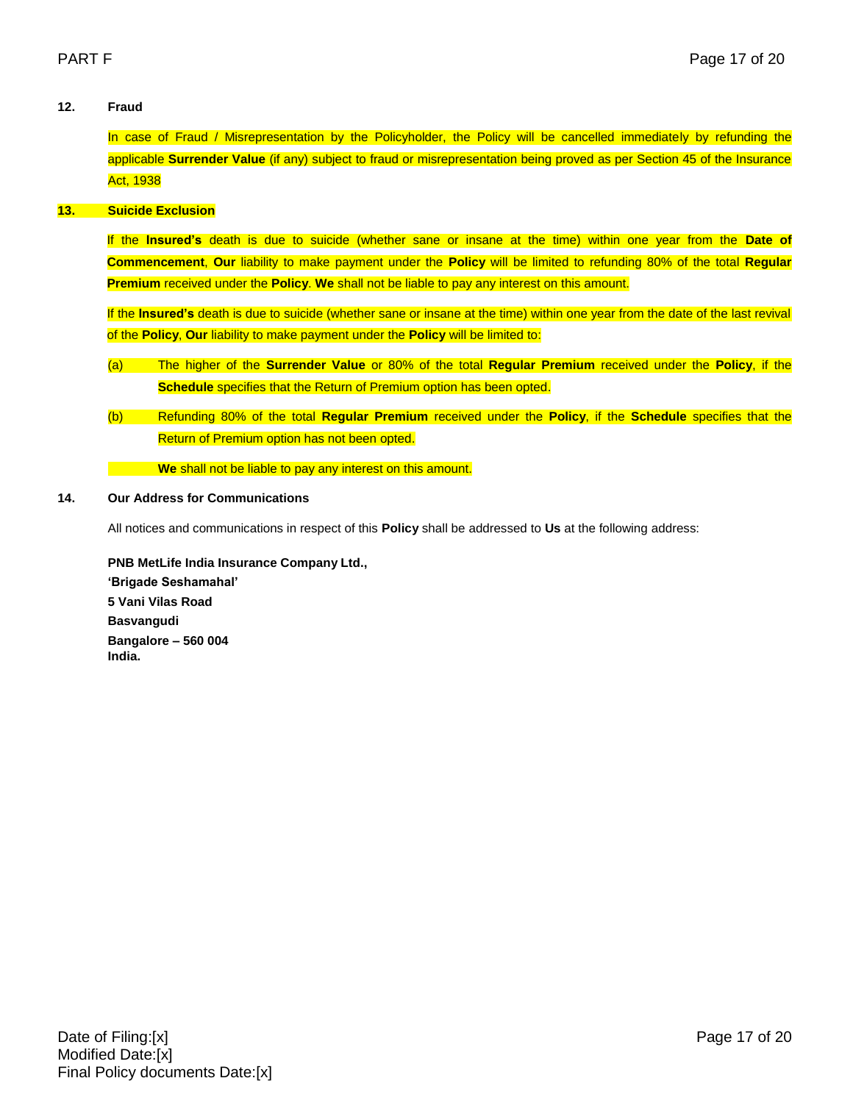#### **12. Fraud**

In case of Fraud / Misrepresentation by the Policyholder, the Policy will be cancelled immediately by refunding the applicable **Surrender Value** (if any) subject to fraud or misrepresentation being proved as per Section 45 of the Insurance Act, 1938

### **13. Suicide Exclusion**

If the **Insured's** death is due to suicide (whether sane or insane at the time) within one year from the **Date of Commencement**, **Our** liability to make payment under the **Policy** will be limited to refunding 80% of the total **Regular Premium** received under the **Policy**. **We** shall not be liable to pay any interest on this amount.

If the **Insured's** death is due to suicide (whether sane or insane at the time) within one year from the date of the last revival of the **Policy**, **Our** liability to make payment under the **Policy** will be limited to:

- (a) The higher of the **Surrender Value** or 80% of the total **Regular Premium** received under the **Policy**, if the **Schedule** specifies that the Return of Premium option has been opted.
- (b) Refunding 80% of the total **Regular Premium** received under the **Policy**, if the **Schedule** specifies that the Return of Premium option has not been opted.

**We** shall not be liable to pay any interest on this amount.

#### **14. Our Address for Communications**

All notices and communications in respect of this **Policy** shall be addressed to **Us** at the following address:

**PNB MetLife India Insurance Company Ltd., 'Brigade Seshamahal' 5 Vani Vilas Road Basvangudi Bangalore – 560 004 India.**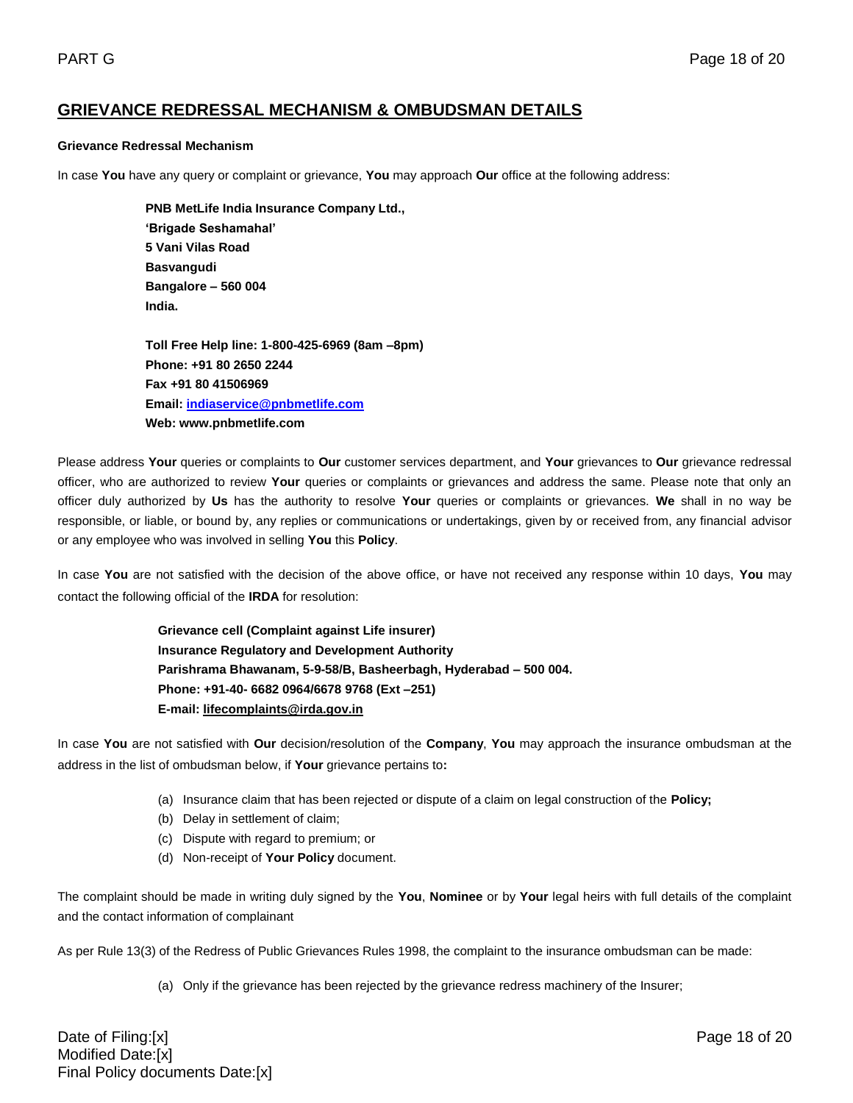### **GRIEVANCE REDRESSAL MECHANISM & OMBUDSMAN DETAILS**

#### **Grievance Redressal Mechanism**

In case **You** have any query or complaint or grievance, **You** may approach **Our** office at the following address:

**PNB MetLife India Insurance Company Ltd., 'Brigade Seshamahal' 5 Vani Vilas Road Basvangudi Bangalore – 560 004 India.** 

**Toll Free Help line: 1-800-425-6969 (8am –8pm) Phone: +91 80 2650 2244 Fax +91 80 41506969 Email: [indiaservice@pnbmetlife.com](mailto:indiaservice@pnbmetlife.com) Web: www.pnbmetlife.com** 

Please address **Your** queries or complaints to **Our** customer services department, and **Your** grievances to **Our** grievance redressal officer, who are authorized to review **Your** queries or complaints or grievances and address the same. Please note that only an officer duly authorized by **Us** has the authority to resolve **Your** queries or complaints or grievances. **We** shall in no way be responsible, or liable, or bound by, any replies or communications or undertakings, given by or received from, any financial advisor or any employee who was involved in selling **You** this **Policy**.

In case **You** are not satisfied with the decision of the above office, or have not received any response within 10 days, **You** may contact the following official of the **IRDA** for resolution:

> **Grievance cell (Complaint against Life insurer) Insurance Regulatory and Development Authority Parishrama Bhawanam, 5-9-58/B, Basheerbagh, Hyderabad – 500 004. Phone: +91-40- 6682 0964/6678 9768 (Ext –251) E-mail: [lifecomplaints@irda.gov.in](mailto:lifecomplaints@irda.gov.in)**

In case **You** are not satisfied with **Our** decision/resolution of the **Company**, **You** may approach the insurance ombudsman at the address in the list of ombudsman below, if **Your** grievance pertains to**:**

- (a) Insurance claim that has been rejected or dispute of a claim on legal construction of the **Policy;**
- (b) Delay in settlement of claim;
- (c) Dispute with regard to premium; or
- (d) Non-receipt of **Your Policy** document.

The complaint should be made in writing duly signed by the **You**, **Nominee** or by **Your** legal heirs with full details of the complaint and the contact information of complainant

As per Rule 13(3) of the Redress of Public Grievances Rules 1998, the complaint to the insurance ombudsman can be made:

(a) Only if the grievance has been rejected by the grievance redress machinery of the Insurer;

Date of Filing:[x] Page 18 of 20 Modified Date:[x] Final Policy documents Date:[x]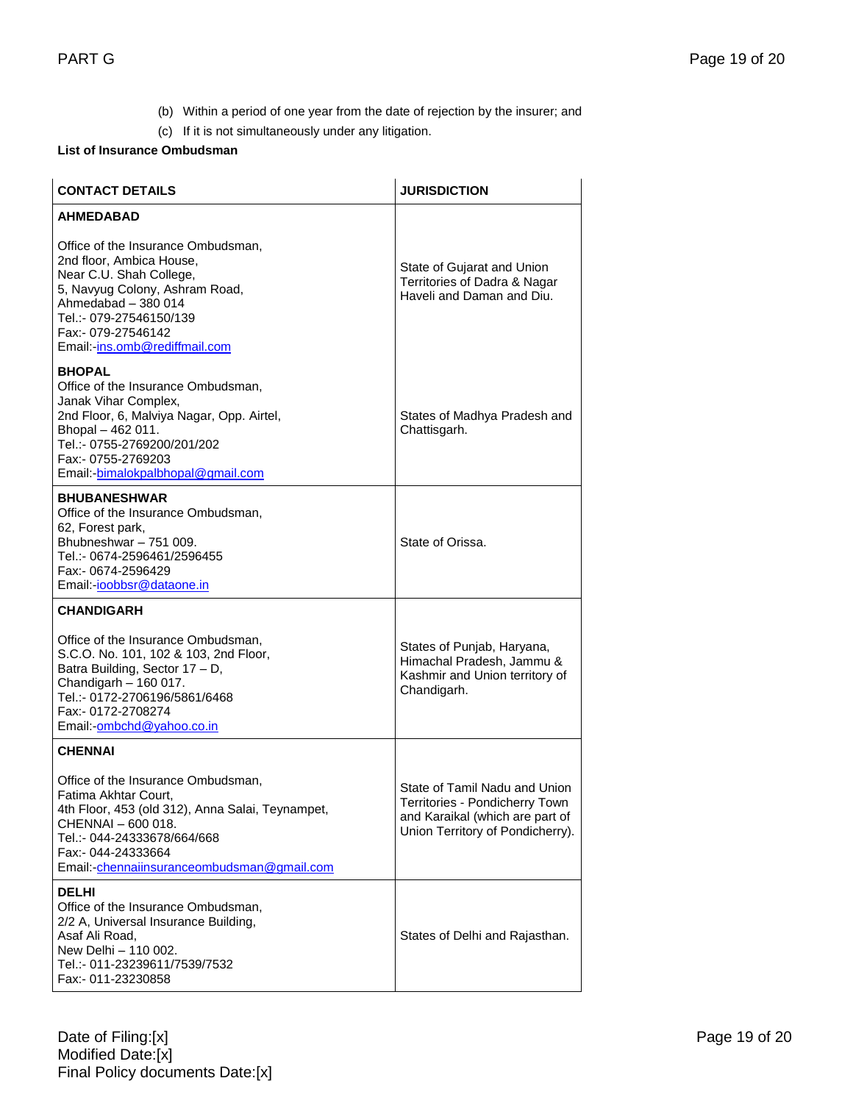- (b) Within a period of one year from the date of rejection by the insurer; and
- (c) If it is not simultaneously under any litigation.

### **List of Insurance Ombudsman**

| <b>CONTACT DETAILS</b>                                                                                                                                                                                                                  | <b>JURISDICTION</b>                                                                                                                    |
|-----------------------------------------------------------------------------------------------------------------------------------------------------------------------------------------------------------------------------------------|----------------------------------------------------------------------------------------------------------------------------------------|
| <b>AHMEDABAD</b>                                                                                                                                                                                                                        |                                                                                                                                        |
| Office of the Insurance Ombudsman,<br>2nd floor, Ambica House,<br>Near C.U. Shah College,<br>5, Navyug Colony, Ashram Road,<br>Ahmedabad - 380 014<br>Tel.:- 079-27546150/139<br>Fax:- 079-27546142<br>Email:-ins.omb@rediffmail.com    | State of Gujarat and Union<br>Territories of Dadra & Nagar<br>Haveli and Daman and Diu.                                                |
| <b>BHOPAL</b><br>Office of the Insurance Ombudsman,<br>Janak Vihar Complex,<br>2nd Floor, 6, Malviya Nagar, Opp. Airtel,<br>Bhopal - 462 011.<br>Tel.:- 0755-2769200/201/202<br>Fax:- 0755-2769203<br>Email: bimalokpalbhopal@gmail.com | States of Madhya Pradesh and<br>Chattisgarh.                                                                                           |
| <b>BHUBANESHWAR</b><br>Office of the Insurance Ombudsman,<br>62, Forest park,<br>Bhubneshwar - 751 009.<br>Tel.:- 0674-2596461/2596455<br>Fax:- 0674-2596429<br>Email:-ioobbsr@dataone.in                                               | State of Orissa.                                                                                                                       |
| <b>CHANDIGARH</b>                                                                                                                                                                                                                       |                                                                                                                                        |
| Office of the Insurance Ombudsman,<br>S.C.O. No. 101, 102 & 103, 2nd Floor,<br>Batra Building, Sector 17 - D,<br>Chandigarh $-160017$ .<br>Tel.:- 0172-2706196/5861/6468<br>Fax:- 0172-2708274<br>Email:-ombchd@yahoo.co.in             | States of Punjab, Haryana,<br>Himachal Pradesh, Jammu &<br>Kashmir and Union territory of<br>Chandigarh.                               |
| <b>CHENNAI</b>                                                                                                                                                                                                                          |                                                                                                                                        |
| Office of the Insurance Ombudsman,<br>Fatima Akhtar Court.<br>4th Floor, 453 (old 312), Anna Salai, Teynampet,<br>CHENNAI - 600 018.<br>Tel.:- 044-24333678/664/668<br>Fax:- 044-24333664<br>Email:-chennaiinsuranceombudsman@gmail.com | State of Tamil Nadu and Union<br>Territories - Pondicherry Town<br>and Karaikal (which are part of<br>Union Territory of Pondicherry). |
| <b>DELHI</b><br>Office of the Insurance Ombudsman,<br>2/2 A, Universal Insurance Building,<br>Asaf Ali Road,<br>New Delhi - 110 002.<br>Tel.:- 011-23239611/7539/7532<br>Fax:- 011-23230858                                             | States of Delhi and Rajasthan.                                                                                                         |